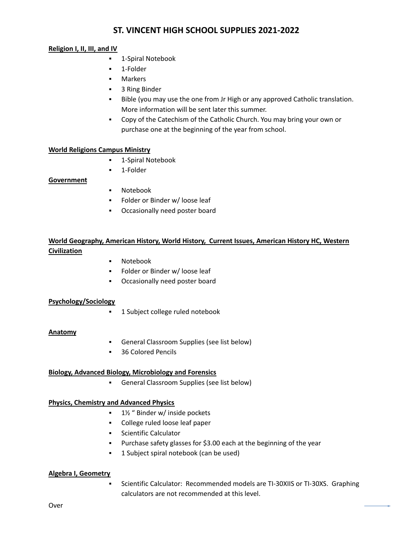# **ST. VINCENT HIGH SCHOOL SUPPLIES 2021-2022**

### **Religion I, II, III, and IV**

- 1-Spiral Notebook
- 1-Folder
- **Markers**
- 3 Ring Binder
- **EXECT A** Bible (you may use the one from Jr High or any approved Catholic translation. More information will be sent later this summer.
- Copy of the Catechism of the Catholic Church. You may bring your own or purchase one at the beginning of the year from school.

### **World Religions Campus Ministry**

- 1-Spiral Notebook
- 1-Folder

## **Government**

- Notebook
- Folder or Binder w/ loose leaf
- Occasionally need poster board

# **World Geography, American History, World History, Current Issues, American History HC, Western Civilization**

- Notebook
- Folder or Binder w/ loose leaf
- Occasionally need poster board

### **Psychology/Sociology**

**■ 1 Subject college ruled notebook** 

### **Anatomy**

- General Classroom Supplies (see list below)
- 36 Colored Pencils

### **Biology, Advanced Biology, Microbiology and Forensics**

▪ General Classroom Supplies (see list below)

### **Physics, Chemistry and Advanced Physics**

- $1\frac{1}{2}$  " Binder w/ inside pockets
- College ruled loose leaf paper
- Scientific Calculator
- Purchase safety glasses for \$3.00 each at the beginning of the year
- **•** 1 Subject spiral notebook (can be used)

### **Algebra I, Geometry**

Scientific Calculator: Recommended models are TI-30XIIS or TI-30XS. Graphing calculators are not recommended at this level.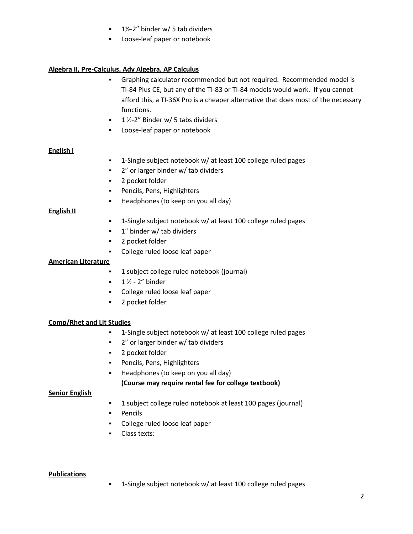- $\blacksquare$  1½-2" binder w/ 5 tab dividers
- Loose-leaf paper or notebook

## **Algebra II, Pre-Calculus, Adv Algebra, AP Calculus**

- Graphing calculator recommended but not required. Recommended model is TI-84 Plus CE, but any of the TI-83 or TI-84 models would work. If you cannot afford this, a TI-36X Pro is a cheaper alternative that does most of the necessary functions.
- $\blacksquare$  1 ½-2" Binder w/ 5 tabs dividers
- Loose-leaf paper or notebook

### **English I**

- 1-Single subject notebook w/ at least 100 college ruled pages
- 2" or larger binder w/ tab dividers
- 2 pocket folder
- Pencils, Pens, Highlighters
- Headphones (to keep on you all day)

### **English II**

- 1-Single subject notebook w/ at least 100 college ruled pages
- 1" binder w/ tab dividers
- 2 pocket folder
- College ruled loose leaf paper

### **American Literature**

- 1 subject college ruled notebook (journal)
- $\blacksquare$  1  $\frac{1}{2}$  2" binder
- College ruled loose leaf paper
- 2 pocket folder

### **Comp/Rhet and Lit Studies**

- 1-Single subject notebook w/ at least 100 college ruled pages
- 2" or larger binder w/ tab dividers
- 2 pocket folder
- Pencils, Pens, Highlighters
- Headphones (to keep on you all day)

### **(Course may require rental fee for college textbook)**

### **Senior English**

- 1 subject college ruled notebook at least 100 pages (journal)
- Pencils
- College ruled loose leaf paper
- Class texts:

### **Publications**

▪ 1-Single subject notebook w/ at least 100 college ruled pages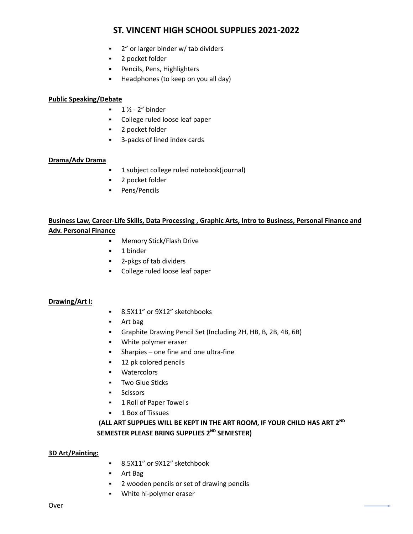# **ST. VINCENT HIGH SCHOOL SUPPLIES 2021-2022**

- 2" or larger binder w/ tab dividers
- 2 pocket folder
- Pencils, Pens, Highlighters
- Headphones (to keep on you all day)

### **Public Speaking/Debate**

- $\blacksquare$  1 ½ 2" binder
- College ruled loose leaf paper
- 2 pocket folder
- 3-packs of lined index cards

### **Drama/Adv Drama**

- 1 subject college ruled notebook(journal)
- 2 pocket folder
- Pens/Pencils

# **Business Law, Career-Life Skills, Data Processing , Graphic Arts, Intro to Business, Personal Finance and**

# **Adv. Personal Finance**

- Memory Stick/Flash Drive
- 1 binder
- 2-pkgs of tab dividers
- College ruled loose leaf paper

### **Drawing/Art I:**

- 8.5X11" or 9X12" sketchbooks
- Art bag
- Graphite Drawing Pencil Set (Including 2H, HB, B, 2B, 4B, 6B)
- White polymer eraser
- Sharpies one fine and one ultra-fine
- 12 pk colored pencils
- Watercolors
- Two Glue Sticks
- Scissors
- 1 Roll of Paper Towel s
- 1 Box of Tissues

# **(ALL ART SUPPLIES WILL BE KEPT IN THE ART ROOM, IF YOUR CHILD HAS ART 2 ND SEMESTER PLEASE BRING SUPPLIES 2 ND SEMESTER)**

### **3D Art/Painting:**

- 8.5X11" or 9X12" sketchbook
- Art Bag
- 2 wooden pencils or set of drawing pencils
- White hi-polymer eraser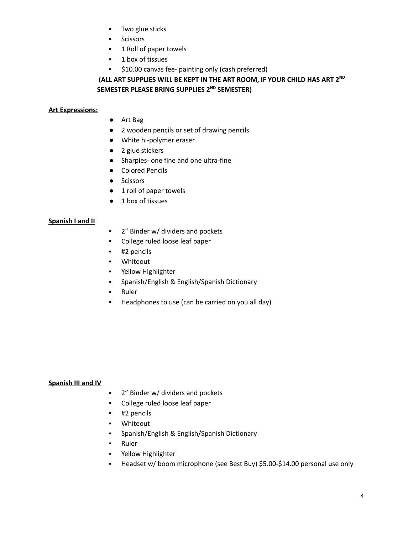- Two glue sticks
- Scissors
- 1 Roll of paper towels
- 1 box of tissues
- \$10.00 canvas fee- painting only (cash preferred)

**(ALL ART SUPPLIES WILL BE KEPT IN THE ART ROOM, IF YOUR CHILD HAS ART 2 ND SEMESTER PLEASE BRING SUPPLIES 2 ND SEMESTER)**

## **Art Expressions:**

- Art Bag
- 2 wooden pencils or set of drawing pencils
- White hi-polymer eraser
- 2 glue stickers
- Sharpies- one fine and one ultra-fine
- Colored Pencils
- Scissors
- 1 roll of paper towels
- 1 box of tissues

### **Spanish I and II**

- 2<sup>"</sup> Binder w/ dividers and pockets
- College ruled loose leaf paper
- #2 pencils
- Whiteout
- Yellow Highlighter
- Spanish/English & English/Spanish Dictionary
- Ruler
- Headphones to use (can be carried on you all day)

### **Spanish III and IV**

- 2<sup>"</sup> Binder w/ dividers and pockets
- College ruled loose leaf paper
- #2 pencils
- Whiteout
- Spanish/English & English/Spanish Dictionary
- Ruler
- Yellow Highlighter
- Headset w/ boom microphone (see Best Buy) \$5.00-\$14.00 personal use only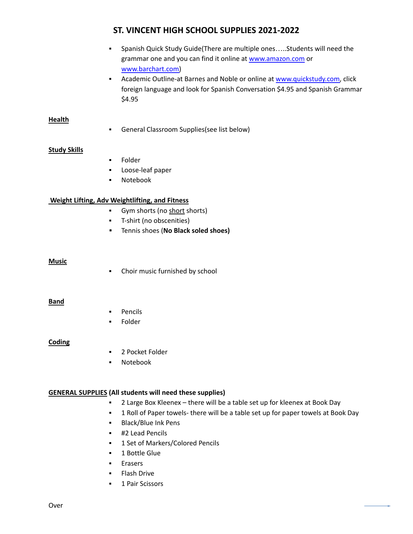# **ST. VINCENT HIGH SCHOOL SUPPLIES 2021-2022**

- Spanish Quick Study Guide(There are multiple ones…..Students will need the grammar one and you can find it online at [www.amazon.com](http://www.amazon.com) or [www.barchart.com\)](http://www.barchart.com)
- **EXECT** Academic Outline-at Barnes and Noble or online at [www.quickstudy.com,](http://www.quickstudy.com) click foreign language and look for Spanish Conversation \$4.95 and Spanish Grammar \$4.95

## **Health**

▪ General Classroom Supplies(see list below)

## **Study Skills**

- Folder
- Loose-leaf paper
- Notebook

## **Weight Lifting, Adv Weightlifting, and Fitness**

- **•** Gym shorts (no short shorts)
- T-shirt (no obscenities)
- **▪** Tennis shoes (**No Black soled shoes)**

### **Music**

▪ Choir music furnished by school

### **Band**

- **Pencils**
- Folder

### **Coding**

- 2 Pocket Folder
- Notebook

### **GENERAL SUPPLIES (All students will need these supplies)**

- 2 Large Box Kleenex there will be a table set up for kleenex at Book Day
- **.** 1 Roll of Paper towels- there will be a table set up for paper towels at Book Day
- Black/Blue Ink Pens
- #2 Lead Pencils
- **1 Set of Markers/Colored Pencils**
- 1 Bottle Glue
- Erasers
- **Flash Drive**
- **■** 1 Pair Scissors